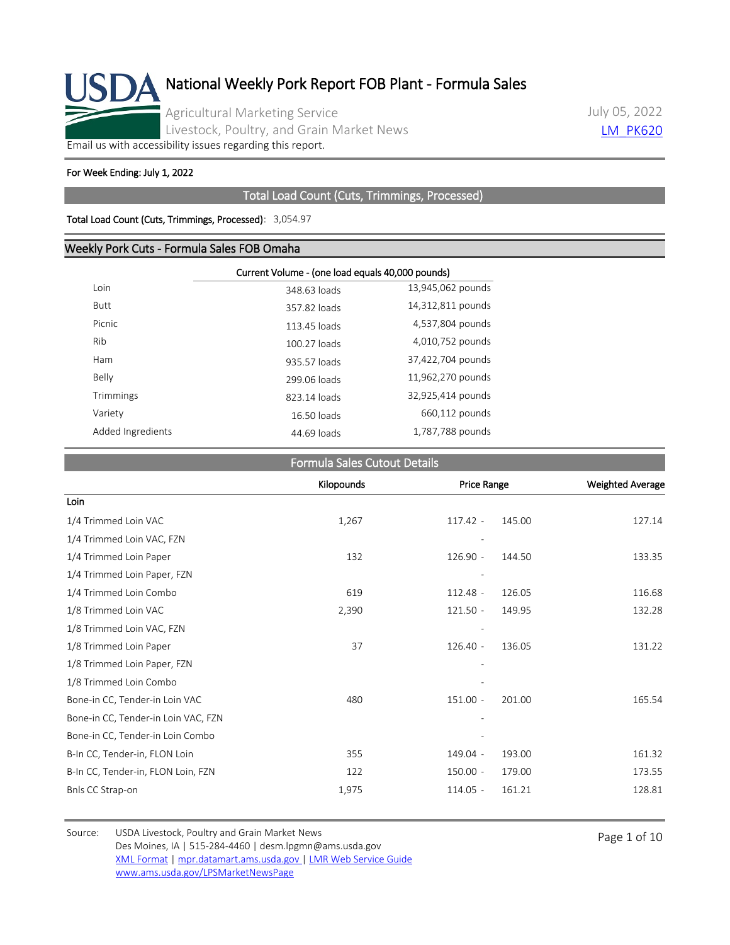

July 05, 2022 **LM PK620** 

[Email us with accessibility issues regarding this report.](mailto:mpr.lpgmn@ams.usda.gov?subject=508%20Issue)

#### For Week Ending: July 1, 2022

#### Total Load Count (Cuts, Trimmings, Processed)

#### Total Load Count (Cuts, Trimmings, Processed): 3,054.97

#### Weekly Pork Cuts - Formula Sales FOB Omaha

|                   | Current Volume - (one load equals 40,000 pounds) |                   |  |  |  |
|-------------------|--------------------------------------------------|-------------------|--|--|--|
| Loin              | 348.63 loads                                     | 13,945,062 pounds |  |  |  |
| <b>Butt</b>       | 357.82 loads                                     | 14,312,811 pounds |  |  |  |
| Picnic            | 113.45 loads                                     | 4,537,804 pounds  |  |  |  |
| Rib               | 100.27 loads                                     | 4,010,752 pounds  |  |  |  |
| Ham               | 935.57 loads                                     | 37,422,704 pounds |  |  |  |
| Belly             | 299.06 loads                                     | 11,962,270 pounds |  |  |  |
| Trimmings         | 823.14 loads                                     | 32,925,414 pounds |  |  |  |
| Variety           | 16.50 loads                                      | 660,112 pounds    |  |  |  |
| Added Ingredients | 44.69 loads                                      | 1,787,788 pounds  |  |  |  |

#### Formula Sales Cutout Details

|                                     | Kilopounds | Price Range |        | <b>Weighted Average</b> |
|-------------------------------------|------------|-------------|--------|-------------------------|
| Loin                                |            |             |        |                         |
| 1/4 Trimmed Loin VAC                | 1,267      | $117.42 -$  | 145.00 | 127.14                  |
| 1/4 Trimmed Loin VAC, FZN           |            |             |        |                         |
| 1/4 Trimmed Loin Paper              | 132        | 126.90 -    | 144.50 | 133.35                  |
| 1/4 Trimmed Loin Paper, FZN         |            |             |        |                         |
| 1/4 Trimmed Loin Combo              | 619        | $112.48 -$  | 126.05 | 116.68                  |
| 1/8 Trimmed Loin VAC                | 2,390      | $121.50 -$  | 149.95 | 132.28                  |
| 1/8 Trimmed Loin VAC, FZN           |            |             |        |                         |
| 1/8 Trimmed Loin Paper              | 37         | $126.40 -$  | 136.05 | 131.22                  |
| 1/8 Trimmed Loin Paper, FZN         |            |             |        |                         |
| 1/8 Trimmed Loin Combo              |            |             |        |                         |
| Bone-in CC, Tender-in Loin VAC      | 480        | $151.00 -$  | 201.00 | 165.54                  |
| Bone-in CC, Tender-in Loin VAC, FZN |            |             |        |                         |
| Bone-in CC, Tender-in Loin Combo    |            |             |        |                         |
| B-In CC, Tender-in, FLON Loin       | 355        | 149.04 -    | 193.00 | 161.32                  |
| B-In CC, Tender-in, FLON Loin, FZN  | 122        | $150.00 -$  | 179.00 | 173.55                  |
| Bnls CC Strap-on                    | 1,975      | $114.05 -$  | 161.21 | 128.81                  |

Source: USDA Livestock, Poultry and Grain Market News<br>
Page 1 of 10 Des Moines, IA | 515-284-4460 | desm.lpgmn@ams.usda.gov [XML Format](https://mpr.datamart.ams.usda.gov/ws/report/v1/pork/LM_PK620?filter=%7B%22filters%22:%5B%7B%22fieldName%22:%22Report%20date%22,%22operatorType%22:%22EQUAL%22,%22values%22:%5B%227/5/2022%22%5D%7D%5D%7D) | [mpr.datamart.ams.usda.gov](https://mpr.datamart.ams.usda.gov/) | [LMR Web Service Guide](https://www.marketnews.usda.gov/mnp/assets/ls/USDA-LMR-WebService-Client-User-Guide-v1_prod.pdf) [www.ams.usda.gov/LPSMarketNewsPage](https://www.ams.usda.gov/LPSMarketNewsPage)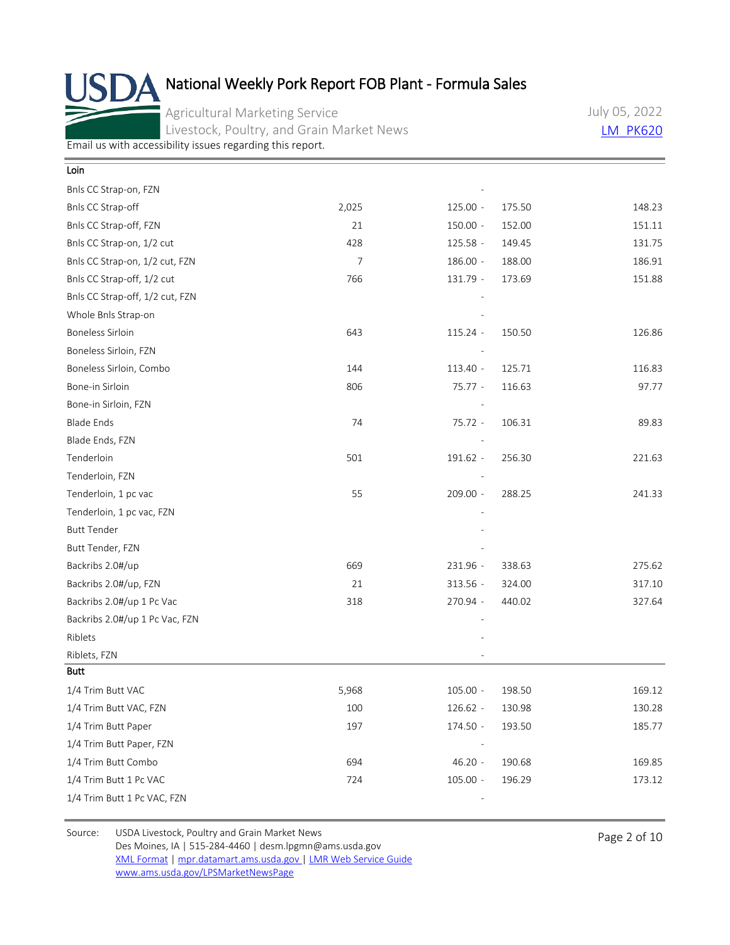Agricultural Marketing Service Livestock, Poultry, and Grain Market News July 05, 2022 [LM\\_PK620](https://mpr.datamart.ams.usda.gov/ws/report/v1/pork/LM_PK620?filter=%7B%22filters%22:%5B%7B%22fieldName%22:%22Report%20date%22,%22operatorType%22:%22EQUAL%22,%22values%22:%5B%227/5/2022%22%5D%7D%5D%7D)

[Email us with accessibility issues regarding this report.](mailto:mpr.lpgmn@ams.usda.gov?subject=508%20Issue)

| Loin                            |       |            |        |        |
|---------------------------------|-------|------------|--------|--------|
| Bnls CC Strap-on, FZN           |       |            |        |        |
| Bnls CC Strap-off               | 2,025 | $125.00 -$ | 175.50 | 148.23 |
| Bnls CC Strap-off, FZN          | 21    | 150.00 -   | 152.00 | 151.11 |
| Bnls CC Strap-on, 1/2 cut       | 428   | 125.58 -   | 149.45 | 131.75 |
| Bnls CC Strap-on, 1/2 cut, FZN  | 7     | 186.00 -   | 188.00 | 186.91 |
| Bnls CC Strap-off, 1/2 cut      | 766   | 131.79 -   | 173.69 | 151.88 |
| Bnls CC Strap-off, 1/2 cut, FZN |       |            |        |        |
| Whole Bnls Strap-on             |       |            |        |        |
| <b>Boneless Sirloin</b>         | 643   | $115.24 -$ | 150.50 | 126.86 |
| Boneless Sirloin, FZN           |       |            |        |        |
| Boneless Sirloin, Combo         | 144   | 113.40 -   | 125.71 | 116.83 |
| Bone-in Sirloin                 | 806   | 75.77 -    | 116.63 | 97.77  |
| Bone-in Sirloin, FZN            |       |            |        |        |
| <b>Blade Ends</b>               | 74    | 75.72 -    | 106.31 | 89.83  |
| Blade Ends, FZN                 |       |            |        |        |
| Tenderloin                      | 501   | 191.62 -   | 256.30 | 221.63 |
| Tenderloin, FZN                 |       |            |        |        |
| Tenderloin, 1 pc vac            | 55    | $209.00 -$ | 288.25 | 241.33 |
| Tenderloin, 1 pc vac, FZN       |       |            |        |        |
| <b>Butt Tender</b>              |       |            |        |        |
| Butt Tender, FZN                |       |            |        |        |
| Backribs 2.0#/up                | 669   | 231.96 -   | 338.63 | 275.62 |
| Backribs 2.0#/up, FZN           | 21    | 313.56 -   | 324.00 | 317.10 |
| Backribs 2.0#/up 1 Pc Vac       | 318   | 270.94 -   | 440.02 | 327.64 |
| Backribs 2.0#/up 1 Pc Vac, FZN  |       |            |        |        |
| Riblets                         |       |            |        |        |
| Riblets, FZN                    |       |            |        |        |
| <b>Butt</b>                     |       |            |        |        |
| 1/4 Trim Butt VAC               | 5,968 | $105.00 -$ | 198.50 | 169.12 |
| 1/4 Trim Butt VAC, FZN          | 100   | 126.62 -   | 130.98 | 130.28 |
| 1/4 Trim Butt Paper             | 197   | 174.50 -   | 193.50 | 185.77 |
| 1/4 Trim Butt Paper, FZN        |       |            |        |        |
| 1/4 Trim Butt Combo             | 694   | $46.20 -$  | 190.68 | 169.85 |
| 1/4 Trim Butt 1 Pc VAC          | 724   | $105.00 -$ | 196.29 | 173.12 |
| 1/4 Trim Butt 1 Pc VAC, FZN     |       |            |        |        |

Source: USDA Livestock, Poultry and Grain Market News<br>
Page 2 of 10 Des Moines, IA | 515-284-4460 | desm.lpgmn@ams.usda.gov [XML Format](https://mpr.datamart.ams.usda.gov/ws/report/v1/pork/LM_PK620?filter=%7B%22filters%22:%5B%7B%22fieldName%22:%22Report%20date%22,%22operatorType%22:%22EQUAL%22,%22values%22:%5B%227/5/2022%22%5D%7D%5D%7D) | [mpr.datamart.ams.usda.gov](https://mpr.datamart.ams.usda.gov/) | [LMR Web Service Guide](https://www.marketnews.usda.gov/mnp/assets/ls/USDA-LMR-WebService-Client-User-Guide-v1_prod.pdf) [www.ams.usda.gov/LPSMarketNewsPage](https://www.ams.usda.gov/LPSMarketNewsPage)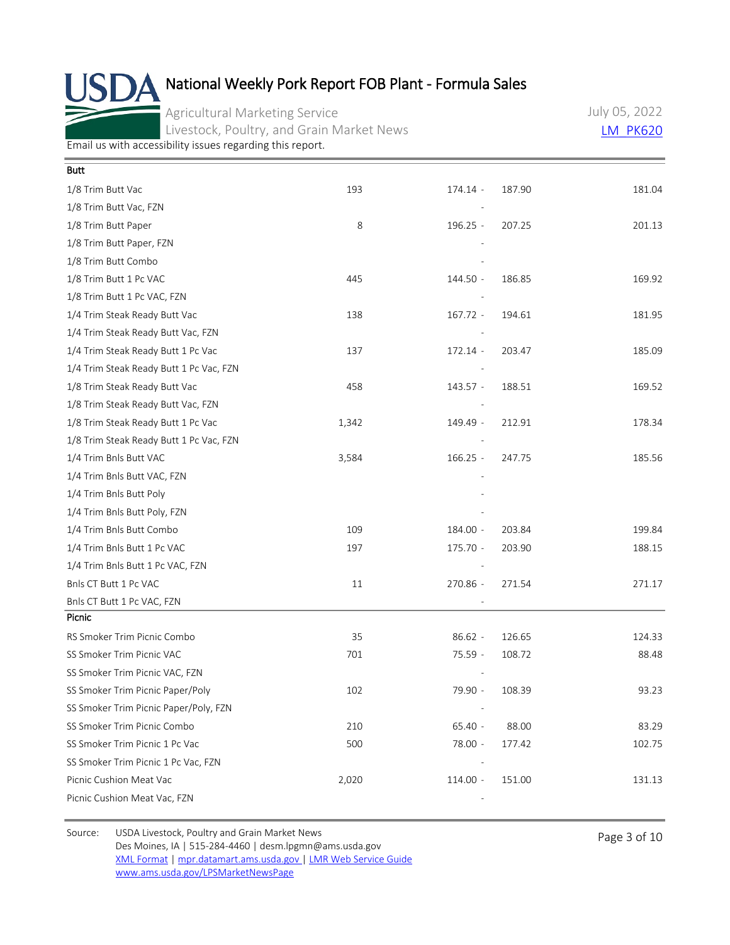Agricultural Marketing Service Livestock, Poultry, and Grain Market News July 05, 2022 [LM\\_PK620](https://mpr.datamart.ams.usda.gov/ws/report/v1/pork/LM_PK620?filter=%7B%22filters%22:%5B%7B%22fieldName%22:%22Report%20date%22,%22operatorType%22:%22EQUAL%22,%22values%22:%5B%227/5/2022%22%5D%7D%5D%7D)

[Email us with accessibility issues regarding this report.](mailto:mpr.lpgmn@ams.usda.gov?subject=508%20Issue)

| <b>Butt</b>                             |       |            |        |        |
|-----------------------------------------|-------|------------|--------|--------|
| 1/8 Trim Butt Vac                       | 193   | 174.14 -   | 187.90 | 181.04 |
| 1/8 Trim Butt Vac, FZN                  |       |            |        |        |
| 1/8 Trim Butt Paper                     | 8     | $196.25 -$ | 207.25 | 201.13 |
| 1/8 Trim Butt Paper, FZN                |       |            |        |        |
| 1/8 Trim Butt Combo                     |       |            |        |        |
| 1/8 Trim Butt 1 Pc VAC                  | 445   | 144.50 -   | 186.85 | 169.92 |
| 1/8 Trim Butt 1 Pc VAC, FZN             |       |            |        |        |
| 1/4 Trim Steak Ready Butt Vac           | 138   | $167.72 -$ | 194.61 | 181.95 |
| 1/4 Trim Steak Ready Butt Vac, FZN      |       |            |        |        |
| 1/4 Trim Steak Ready Butt 1 Pc Vac      | 137   | 172.14 -   | 203.47 | 185.09 |
| 1/4 Trim Steak Ready Butt 1 Pc Vac, FZN |       |            |        |        |
| 1/8 Trim Steak Ready Butt Vac           | 458   | 143.57 -   | 188.51 | 169.52 |
| 1/8 Trim Steak Ready Butt Vac, FZN      |       |            |        |        |
| 1/8 Trim Steak Ready Butt 1 Pc Vac      | 1,342 | 149.49 -   | 212.91 | 178.34 |
| 1/8 Trim Steak Ready Butt 1 Pc Vac, FZN |       |            |        |        |
| 1/4 Trim Bnls Butt VAC                  | 3,584 | $166.25 -$ | 247.75 | 185.56 |
| 1/4 Trim Bnls Butt VAC, FZN             |       |            |        |        |
| 1/4 Trim Bnls Butt Poly                 |       |            |        |        |
| 1/4 Trim Bnls Butt Poly, FZN            |       |            |        |        |
| 1/4 Trim Bnls Butt Combo                | 109   | 184.00 -   | 203.84 | 199.84 |
| 1/4 Trim Bnls Butt 1 Pc VAC             | 197   | 175.70 -   | 203.90 | 188.15 |
| 1/4 Trim Bnls Butt 1 Pc VAC, FZN        |       |            |        |        |
| Bnls CT Butt 1 Pc VAC                   | 11    | 270.86 -   | 271.54 | 271.17 |
| Bnls CT Butt 1 Pc VAC, FZN              |       |            |        |        |
| Picnic                                  |       |            |        |        |
| RS Smoker Trim Picnic Combo             | 35    | $86.62 -$  | 126.65 | 124.33 |
| SS Smoker Trim Picnic VAC               | 701   | 75.59 -    | 108.72 | 88.48  |
| SS Smoker Trim Picnic VAC, FZN          |       |            |        |        |
| SS Smoker Trim Picnic Paper/Poly        | 102   | 79.90 -    | 108.39 | 93.23  |
| SS Smoker Trim Picnic Paper/Poly, FZN   |       |            |        |        |
| SS Smoker Trim Picnic Combo             | 210   | $65.40 -$  | 88.00  | 83.29  |
| SS Smoker Trim Picnic 1 Pc Vac          | 500   | 78.00 -    | 177.42 | 102.75 |
| SS Smoker Trim Picnic 1 Pc Vac, FZN     |       |            |        |        |
| Picnic Cushion Meat Vac                 | 2,020 | $114.00 -$ | 151.00 | 131.13 |
| Picnic Cushion Meat Vac, FZN            |       |            |        |        |

Source: USDA Livestock, Poultry and Grain Market News<br>
Page 3 of 10 Des Moines, IA | 515-284-4460 | desm.lpgmn@ams.usda.gov [XML Format](https://mpr.datamart.ams.usda.gov/ws/report/v1/pork/LM_PK620?filter=%7B%22filters%22:%5B%7B%22fieldName%22:%22Report%20date%22,%22operatorType%22:%22EQUAL%22,%22values%22:%5B%227/5/2022%22%5D%7D%5D%7D) | [mpr.datamart.ams.usda.gov](https://mpr.datamart.ams.usda.gov/) | [LMR Web Service Guide](https://www.marketnews.usda.gov/mnp/assets/ls/USDA-LMR-WebService-Client-User-Guide-v1_prod.pdf) [www.ams.usda.gov/LPSMarketNewsPage](https://www.ams.usda.gov/LPSMarketNewsPage)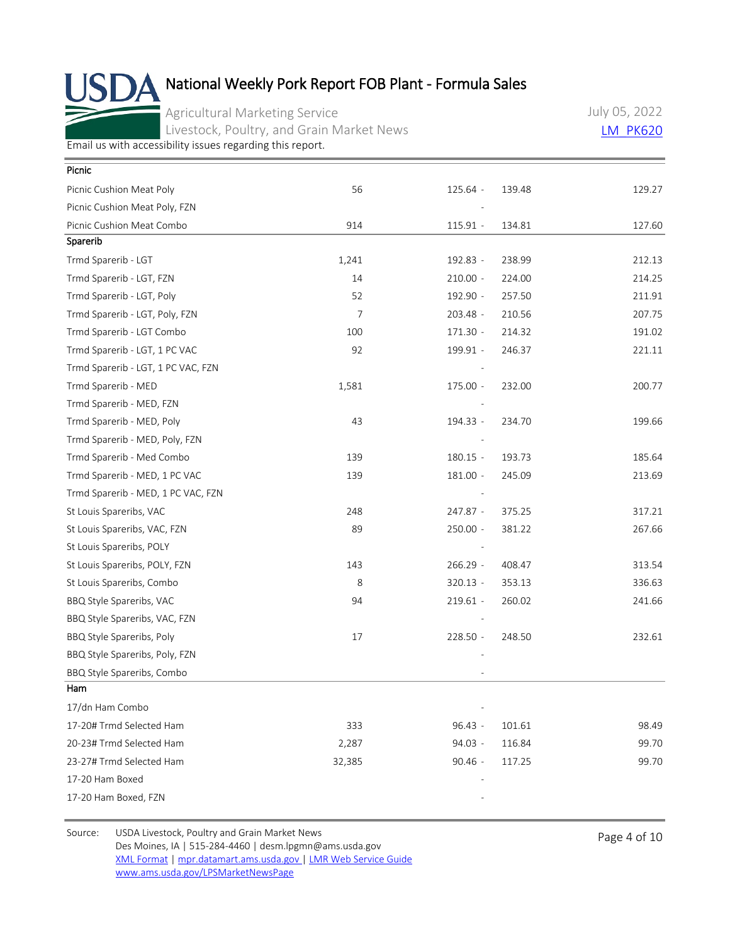Agricultural Marketing Service Livestock, Poultry, and Grain Market News July 05, 2022 [LM\\_PK620](https://mpr.datamart.ams.usda.gov/ws/report/v1/pork/LM_PK620?filter=%7B%22filters%22:%5B%7B%22fieldName%22:%22Report%20date%22,%22operatorType%22:%22EQUAL%22,%22values%22:%5B%227/5/2022%22%5D%7D%5D%7D)

[Email us with accessibility issues regarding this report.](mailto:mpr.lpgmn@ams.usda.gov?subject=508%20Issue)

| Picnic                             |        |                          |        |        |
|------------------------------------|--------|--------------------------|--------|--------|
| Picnic Cushion Meat Poly           | 56     | 125.64 -                 | 139.48 | 129.27 |
| Picnic Cushion Meat Poly, FZN      |        |                          |        |        |
| Picnic Cushion Meat Combo          | 914    | $115.91 -$               | 134.81 | 127.60 |
| Sparerib                           |        |                          |        |        |
| Trmd Sparerib - LGT                | 1,241  | 192.83 -                 | 238.99 | 212.13 |
| Trmd Sparerib - LGT, FZN           | 14     | $210.00 -$               | 224.00 | 214.25 |
| Trmd Sparerib - LGT, Poly          | 52     | 192.90 -                 | 257.50 | 211.91 |
| Trmd Sparerib - LGT, Poly, FZN     | 7      | $203.48 -$               | 210.56 | 207.75 |
| Trmd Sparerib - LGT Combo          | 100    | $171.30 -$               | 214.32 | 191.02 |
| Trmd Sparerib - LGT, 1 PC VAC      | 92     | 199.91 -                 | 246.37 | 221.11 |
| Trmd Sparerib - LGT, 1 PC VAC, FZN |        |                          |        |        |
| Trmd Sparerib - MED                | 1,581  | $175.00 -$               | 232.00 | 200.77 |
| Trmd Sparerib - MED, FZN           |        |                          |        |        |
| Trmd Sparerib - MED, Poly          | 43     | 194.33 -                 | 234.70 | 199.66 |
| Trmd Sparerib - MED, Poly, FZN     |        |                          |        |        |
| Trmd Sparerib - Med Combo          | 139    | $180.15 -$               | 193.73 | 185.64 |
| Trmd Sparerib - MED, 1 PC VAC      | 139    | $181.00 -$               | 245.09 | 213.69 |
| Trmd Sparerib - MED, 1 PC VAC, FZN |        |                          |        |        |
| St Louis Spareribs, VAC            | 248    | $247.87 -$               | 375.25 | 317.21 |
| St Louis Spareribs, VAC, FZN       | 89     | $250.00 -$               | 381.22 | 267.66 |
| St Louis Spareribs, POLY           |        | $\overline{\phantom{a}}$ |        |        |
| St Louis Spareribs, POLY, FZN      | 143    | $266.29 -$               | 408.47 | 313.54 |
| St Louis Spareribs, Combo          | 8      | $320.13 -$               | 353.13 | 336.63 |
| BBQ Style Spareribs, VAC           | 94     | $219.61 -$               | 260.02 | 241.66 |
| BBQ Style Spareribs, VAC, FZN      |        |                          |        |        |
| BBQ Style Spareribs, Poly          | 17     | 228.50 -                 | 248.50 | 232.61 |
| BBQ Style Spareribs, Poly, FZN     |        |                          |        |        |
| BBQ Style Spareribs, Combo         |        |                          |        |        |
| Ham                                |        |                          |        |        |
| 17/dn Ham Combo                    |        |                          |        |        |
| 17-20# Trmd Selected Ham           | 333    | $96.43 -$                | 101.61 | 98.49  |
| 20-23# Trmd Selected Ham           | 2,287  | $94.03 -$                | 116.84 | 99.70  |
| 23-27# Trmd Selected Ham           | 32,385 | $90.46 -$                | 117.25 | 99.70  |
| 17-20 Ham Boxed                    |        |                          |        |        |
| 17-20 Ham Boxed, FZN               |        |                          |        |        |
|                                    |        |                          |        |        |

Source: USDA Livestock, Poultry and Grain Market News<br>
Page 4 of 10 Des Moines, IA | 515-284-4460 | desm.lpgmn@ams.usda.gov [XML Format](https://mpr.datamart.ams.usda.gov/ws/report/v1/pork/LM_PK620?filter=%7B%22filters%22:%5B%7B%22fieldName%22:%22Report%20date%22,%22operatorType%22:%22EQUAL%22,%22values%22:%5B%227/5/2022%22%5D%7D%5D%7D) | [mpr.datamart.ams.usda.gov](https://mpr.datamart.ams.usda.gov/) | [LMR Web Service Guide](https://www.marketnews.usda.gov/mnp/assets/ls/USDA-LMR-WebService-Client-User-Guide-v1_prod.pdf) [www.ams.usda.gov/LPSMarketNewsPage](https://www.ams.usda.gov/LPSMarketNewsPage)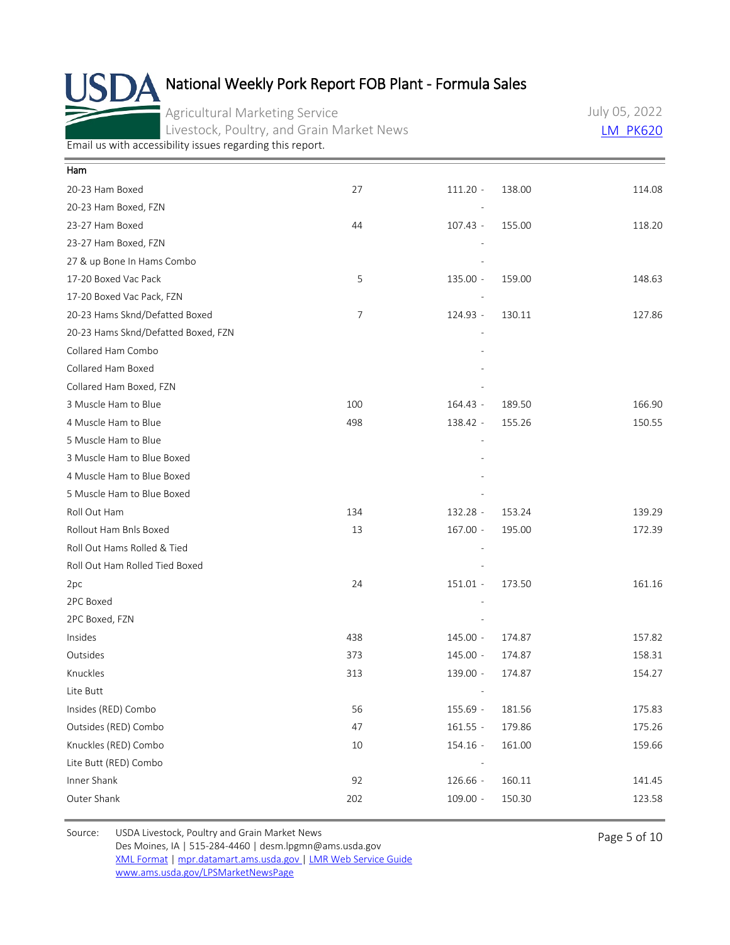Agricultural Marketing Service Livestock, Poultry, and Grain Market News July 05, 2022 [LM\\_PK620](https://mpr.datamart.ams.usda.gov/ws/report/v1/pork/LM_PK620?filter=%7B%22filters%22:%5B%7B%22fieldName%22:%22Report%20date%22,%22operatorType%22:%22EQUAL%22,%22values%22:%5B%227/5/2022%22%5D%7D%5D%7D)

[Email us with accessibility issues regarding this report.](mailto:mpr.lpgmn@ams.usda.gov?subject=508%20Issue)

| Ham                                 |                |            |        |        |
|-------------------------------------|----------------|------------|--------|--------|
| 20-23 Ham Boxed                     | 27             | $111.20 -$ | 138.00 | 114.08 |
| 20-23 Ham Boxed, FZN                |                |            |        |        |
| 23-27 Ham Boxed                     | 44             | 107.43 -   | 155.00 | 118.20 |
| 23-27 Ham Boxed, FZN                |                |            |        |        |
| 27 & up Bone In Hams Combo          |                |            |        |        |
| 17-20 Boxed Vac Pack                | 5              | 135.00 -   | 159.00 | 148.63 |
| 17-20 Boxed Vac Pack, FZN           |                |            |        |        |
| 20-23 Hams Sknd/Defatted Boxed      | $\overline{7}$ | 124.93 -   | 130.11 | 127.86 |
| 20-23 Hams Sknd/Defatted Boxed, FZN |                |            |        |        |
| Collared Ham Combo                  |                |            |        |        |
| Collared Ham Boxed                  |                |            |        |        |
| Collared Ham Boxed, FZN             |                |            |        |        |
| 3 Muscle Ham to Blue                | 100            | 164.43 -   | 189.50 | 166.90 |
| 4 Muscle Ham to Blue                | 498            | 138.42 -   | 155.26 | 150.55 |
| 5 Muscle Ham to Blue                |                |            |        |        |
| 3 Muscle Ham to Blue Boxed          |                |            |        |        |
| 4 Muscle Ham to Blue Boxed          |                |            |        |        |
| 5 Muscle Ham to Blue Boxed          |                |            |        |        |
| Roll Out Ham                        | 134            | 132.28 -   | 153.24 | 139.29 |
| Rollout Ham Bnls Boxed              | 13             | $167.00 -$ | 195.00 | 172.39 |
| Roll Out Hams Rolled & Tied         |                |            |        |        |
| Roll Out Ham Rolled Tied Boxed      |                |            |        |        |
| 2pc                                 | 24             | 151.01 -   | 173.50 | 161.16 |
| 2PC Boxed                           |                |            |        |        |
| 2PC Boxed, FZN                      |                |            |        |        |
| Insides                             | 438            | 145.00 -   | 174.87 | 157.82 |
| Outsides                            | 373            | 145.00 -   | 174.87 | 158.31 |
| Knuckles                            | 313            | 139.00 -   | 174.87 | 154.27 |
| Lite Butt                           |                |            |        |        |
| Insides (RED) Combo                 | 56             | 155.69 -   | 181.56 | 175.83 |
| Outsides (RED) Combo                | 47             | $161.55 -$ | 179.86 | 175.26 |
| Knuckles (RED) Combo                | $10\,$         | 154.16 -   | 161.00 | 159.66 |
| Lite Butt (RED) Combo               |                |            |        |        |
| Inner Shank                         | 92             | 126.66 -   | 160.11 | 141.45 |
| Outer Shank                         | 202            | $109.00 -$ | 150.30 | 123.58 |
|                                     |                |            |        |        |

Source: USDA Livestock, Poultry and Grain Market News<br>
Page 5 of 10 Des Moines, IA | 515-284-4460 | desm.lpgmn@ams.usda.gov [XML Format](https://mpr.datamart.ams.usda.gov/ws/report/v1/pork/LM_PK620?filter=%7B%22filters%22:%5B%7B%22fieldName%22:%22Report%20date%22,%22operatorType%22:%22EQUAL%22,%22values%22:%5B%227/5/2022%22%5D%7D%5D%7D) | [mpr.datamart.ams.usda.gov](https://mpr.datamart.ams.usda.gov/) | [LMR Web Service Guide](https://www.marketnews.usda.gov/mnp/assets/ls/USDA-LMR-WebService-Client-User-Guide-v1_prod.pdf) [www.ams.usda.gov/LPSMarketNewsPage](https://www.ams.usda.gov/LPSMarketNewsPage)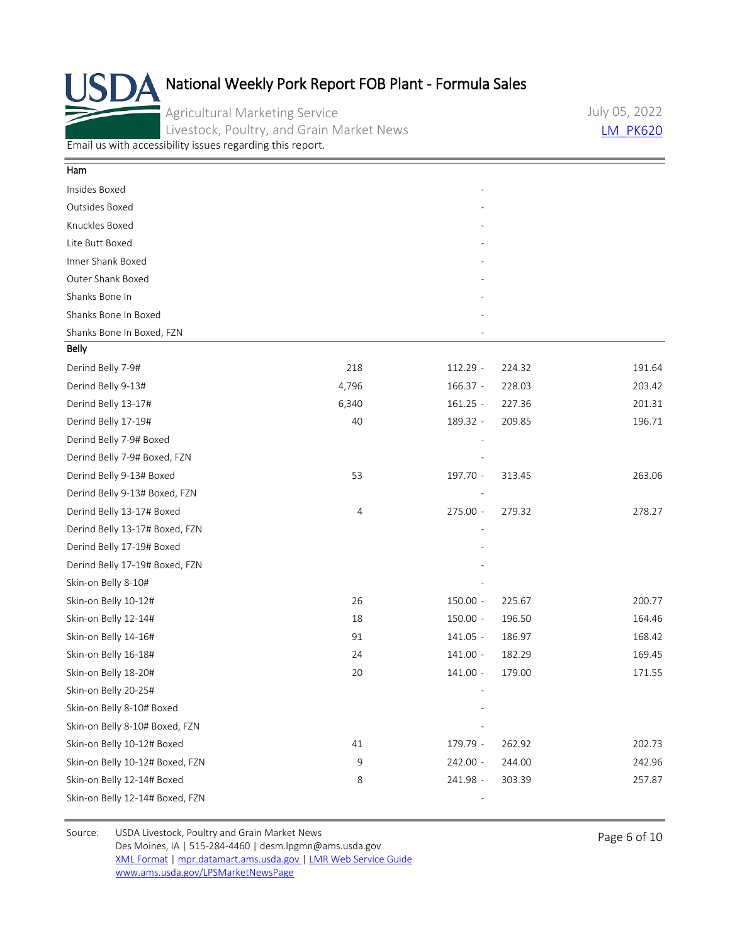Agricultural Marketing Service Livestock, Poultry, and Grain Market News July 05, 2022 **LM PK620** 

[Email us with accessibility issues regarding this report.](mailto:mpr.lpgmn@ams.usda.gov?subject=508%20Issue)

| Ham                             |       |            |        |        |
|---------------------------------|-------|------------|--------|--------|
| Insides Boxed                   |       |            |        |        |
| Outsides Boxed                  |       |            |        |        |
| Knuckles Boxed                  |       |            |        |        |
| Lite Butt Boxed                 |       |            |        |        |
| Inner Shank Boxed               |       |            |        |        |
| Outer Shank Boxed               |       |            |        |        |
| Shanks Bone In                  |       |            |        |        |
| Shanks Bone In Boxed            |       |            |        |        |
| Shanks Bone In Boxed, FZN       |       |            |        |        |
| Belly                           |       |            |        |        |
| Derind Belly 7-9#               | 218   | 112.29 -   | 224.32 | 191.64 |
| Derind Belly 9-13#              | 4,796 | $166.37 -$ | 228.03 | 203.42 |
| Derind Belly 13-17#             | 6,340 | $161.25 -$ | 227.36 | 201.31 |
| Derind Belly 17-19#             | 40    | 189.32 -   | 209.85 | 196.71 |
| Derind Belly 7-9# Boxed         |       |            |        |        |
| Derind Belly 7-9# Boxed, FZN    |       |            |        |        |
| Derind Belly 9-13# Boxed        | 53    | 197.70 -   | 313.45 | 263.06 |
| Derind Belly 9-13# Boxed, FZN   |       |            |        |        |
| Derind Belly 13-17# Boxed       | 4     | 275.00 -   | 279.32 | 278.27 |
| Derind Belly 13-17# Boxed, FZN  |       |            |        |        |
| Derind Belly 17-19# Boxed       |       |            |        |        |
| Derind Belly 17-19# Boxed, FZN  |       |            |        |        |
| Skin-on Belly 8-10#             |       |            |        |        |
| Skin-on Belly 10-12#            | 26    | $150.00 -$ | 225.67 | 200.77 |
| Skin-on Belly 12-14#            | 18    | $150.00 -$ | 196.50 | 164.46 |
| Skin-on Belly 14-16#            | 91    | $141.05 -$ | 186.97 | 168.42 |
| Skin-on Belly 16-18#            | 24    | 141.00 -   | 182.29 | 169.45 |
| Skin-on Belly 18-20#            | 20    | $141.00 -$ | 179.00 | 171.55 |
| Skin-on Belly 20-25#            |       |            |        |        |
| Skin-on Belly 8-10# Boxed       |       |            |        |        |
| Skin-on Belly 8-10# Boxed, FZN  |       |            |        |        |
| Skin-on Belly 10-12# Boxed      | 41    | 179.79 -   | 262.92 | 202.73 |
| Skin-on Belly 10-12# Boxed, FZN | 9     | 242.00 -   | 244.00 | 242.96 |
| Skin-on Belly 12-14# Boxed      | 8     | 241.98 -   | 303.39 | 257.87 |
| Skin-on Belly 12-14# Boxed, FZN |       |            |        |        |

Source: USDA Livestock, Poultry and Grain Market News<br>
Page 6 of 10 Des Moines, IA | 515-284-4460 | desm.lpgmn@ams.usda.gov [XML Format](https://mpr.datamart.ams.usda.gov/ws/report/v1/pork/LM_PK620?filter=%7B%22filters%22:%5B%7B%22fieldName%22:%22Report%20date%22,%22operatorType%22:%22EQUAL%22,%22values%22:%5B%227/5/2022%22%5D%7D%5D%7D) | [mpr.datamart.ams.usda.gov](https://mpr.datamart.ams.usda.gov/) | [LMR Web Service Guide](https://www.marketnews.usda.gov/mnp/assets/ls/USDA-LMR-WebService-Client-User-Guide-v1_prod.pdf) [www.ams.usda.gov/LPSMarketNewsPage](https://www.ams.usda.gov/LPSMarketNewsPage)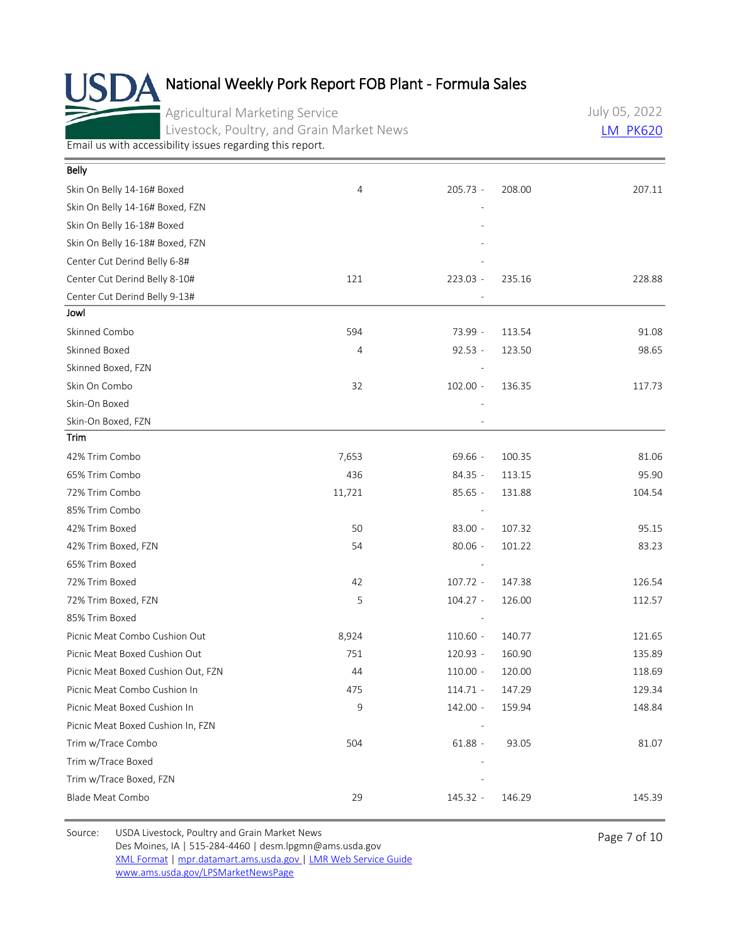Agricultural Marketing Service Livestock, Poultry, and Grain Market News July 05, 2022 [LM\\_PK620](https://mpr.datamart.ams.usda.gov/ws/report/v1/pork/LM_PK620?filter=%7B%22filters%22:%5B%7B%22fieldName%22:%22Report%20date%22,%22operatorType%22:%22EQUAL%22,%22values%22:%5B%227/5/2022%22%5D%7D%5D%7D)

[Email us with accessibility issues regarding this report.](mailto:mpr.lpgmn@ams.usda.gov?subject=508%20Issue)

| <b>Belly</b>                       |        |            |        |        |
|------------------------------------|--------|------------|--------|--------|
| Skin On Belly 14-16# Boxed         | 4      | $205.73 -$ | 208.00 | 207.11 |
| Skin On Belly 14-16# Boxed, FZN    |        |            |        |        |
| Skin On Belly 16-18# Boxed         |        |            |        |        |
| Skin On Belly 16-18# Boxed, FZN    |        |            |        |        |
| Center Cut Derind Belly 6-8#       |        |            |        |        |
| Center Cut Derind Belly 8-10#      | 121    | 223.03 -   | 235.16 | 228.88 |
| Center Cut Derind Belly 9-13#      |        |            |        |        |
| Jowl                               |        |            |        |        |
| Skinned Combo                      | 594    | 73.99 -    | 113.54 | 91.08  |
| Skinned Boxed                      | 4      | $92.53 -$  | 123.50 | 98.65  |
| Skinned Boxed, FZN                 |        |            |        |        |
| Skin On Combo                      | 32     | $102.00 -$ | 136.35 | 117.73 |
| Skin-On Boxed                      |        |            |        |        |
| Skin-On Boxed, FZN                 |        |            |        |        |
| Trim                               |        |            |        |        |
| 42% Trim Combo                     | 7,653  | 69.66 -    | 100.35 | 81.06  |
| 65% Trim Combo                     | 436    | $84.35 -$  | 113.15 | 95.90  |
| 72% Trim Combo                     | 11,721 | $85.65 -$  | 131.88 | 104.54 |
| 85% Trim Combo                     |        |            |        |        |
| 42% Trim Boxed                     | 50     | $83.00 -$  | 107.32 | 95.15  |
| 42% Trim Boxed, FZN                | 54     | $80.06 -$  | 101.22 | 83.23  |
| 65% Trim Boxed                     |        |            |        |        |
| 72% Trim Boxed                     | 42     | $107.72 -$ | 147.38 | 126.54 |
| 72% Trim Boxed, FZN                | 5      | $104.27 -$ | 126.00 | 112.57 |
| 85% Trim Boxed                     |        |            |        |        |
| Picnic Meat Combo Cushion Out      | 8,924  | $110.60 -$ | 140.77 | 121.65 |
| Picnic Meat Boxed Cushion Out      | 751    | 120.93 -   | 160.90 | 135.89 |
| Picnic Meat Boxed Cushion Out, FZN | 44     | $110.00 -$ | 120.00 | 118.69 |
| Picnic Meat Combo Cushion In       | 475    | $114.71 -$ | 147.29 | 129.34 |
| Picnic Meat Boxed Cushion In       | 9      | 142.00 -   | 159.94 | 148.84 |
| Picnic Meat Boxed Cushion In, FZN  |        |            |        |        |
| Trim w/Trace Combo                 | 504    | $61.88 -$  | 93.05  | 81.07  |
| Trim w/Trace Boxed                 |        |            |        |        |
| Trim w/Trace Boxed, FZN            |        |            |        |        |
| Blade Meat Combo                   | 29     | 145.32 -   | 146.29 | 145.39 |

Source: USDA Livestock, Poultry and Grain Market News<br>
Page 7 of 10 Des Moines, IA | 515-284-4460 | desm.lpgmn@ams.usda.gov [XML Format](https://mpr.datamart.ams.usda.gov/ws/report/v1/pork/LM_PK620?filter=%7B%22filters%22:%5B%7B%22fieldName%22:%22Report%20date%22,%22operatorType%22:%22EQUAL%22,%22values%22:%5B%227/5/2022%22%5D%7D%5D%7D) | [mpr.datamart.ams.usda.gov](https://mpr.datamart.ams.usda.gov/) | [LMR Web Service Guide](https://www.marketnews.usda.gov/mnp/assets/ls/USDA-LMR-WebService-Client-User-Guide-v1_prod.pdf) [www.ams.usda.gov/LPSMarketNewsPage](https://www.ams.usda.gov/LPSMarketNewsPage)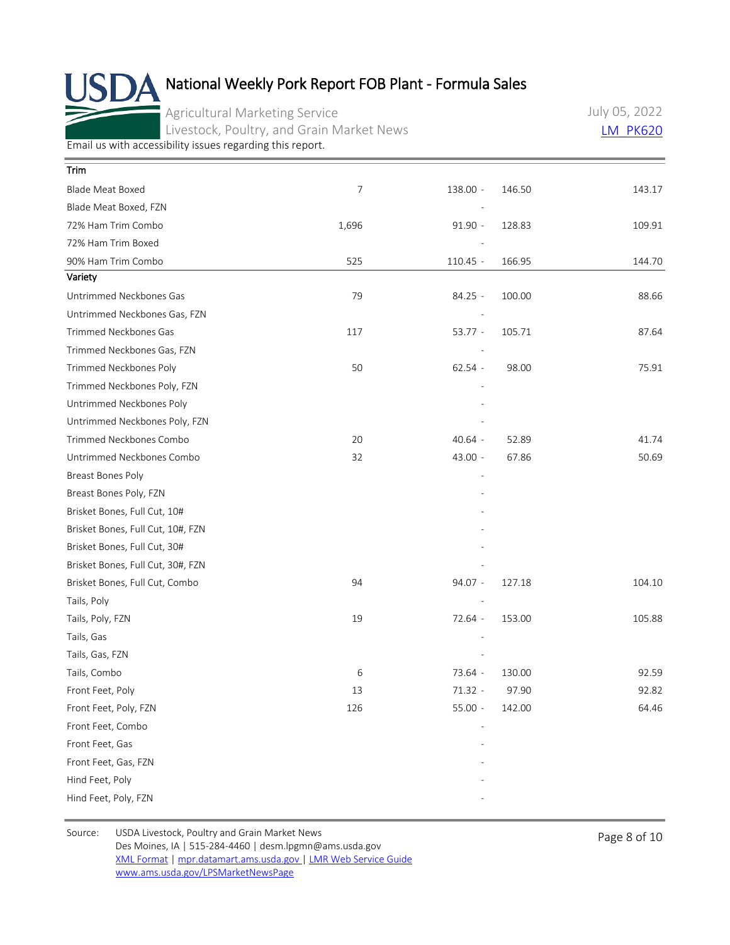Agricultural Marketing Service Livestock, Poultry, and Grain Market News July 05, 2022 [LM\\_PK620](https://mpr.datamart.ams.usda.gov/ws/report/v1/pork/LM_PK620?filter=%7B%22filters%22:%5B%7B%22fieldName%22:%22Report%20date%22,%22operatorType%22:%22EQUAL%22,%22values%22:%5B%227/5/2022%22%5D%7D%5D%7D)

[Email us with accessibility issues regarding this report.](mailto:mpr.lpgmn@ams.usda.gov?subject=508%20Issue)

| <b>Trim</b>                       |       |            |        |        |
|-----------------------------------|-------|------------|--------|--------|
| Blade Meat Boxed                  | 7     | 138.00 -   | 146.50 | 143.17 |
| Blade Meat Boxed, FZN             |       |            |        |        |
| 72% Ham Trim Combo                | 1,696 | $91.90 -$  | 128.83 | 109.91 |
| 72% Ham Trim Boxed                |       |            |        |        |
| 90% Ham Trim Combo                | 525   | $110.45 -$ | 166.95 | 144.70 |
| Variety                           |       |            |        |        |
| Untrimmed Neckbones Gas           | 79    | 84.25 -    | 100.00 | 88.66  |
| Untrimmed Neckbones Gas, FZN      |       |            |        |        |
| Trimmed Neckbones Gas             | 117   | $53.77 -$  | 105.71 | 87.64  |
| Trimmed Neckbones Gas, FZN        |       |            |        |        |
| Trimmed Neckbones Poly            | 50    | $62.54 -$  | 98.00  | 75.91  |
| Trimmed Neckbones Poly, FZN       |       |            |        |        |
| Untrimmed Neckbones Poly          |       |            |        |        |
| Untrimmed Neckbones Poly, FZN     |       |            |        |        |
| Trimmed Neckbones Combo           | 20    | $40.64 -$  | 52.89  | 41.74  |
| Untrimmed Neckbones Combo         | 32    | 43.00 -    | 67.86  | 50.69  |
| Breast Bones Poly                 |       |            |        |        |
| Breast Bones Poly, FZN            |       |            |        |        |
| Brisket Bones, Full Cut, 10#      |       |            |        |        |
| Brisket Bones, Full Cut, 10#, FZN |       |            |        |        |
| Brisket Bones, Full Cut, 30#      |       |            |        |        |
| Brisket Bones, Full Cut, 30#, FZN |       |            |        |        |
| Brisket Bones, Full Cut, Combo    | 94    | 94.07 -    | 127.18 | 104.10 |
| Tails, Poly                       |       |            |        |        |
| Tails, Poly, FZN                  | 19    | 72.64 -    | 153.00 | 105.88 |
| Tails, Gas                        |       |            |        |        |
| Tails, Gas, FZN                   |       |            |        |        |
| Tails, Combo                      | 6     | 73.64 -    | 130.00 | 92.59  |
| Front Feet, Poly                  | 13    | $71.32 -$  | 97.90  | 92.82  |
| Front Feet, Poly, FZN             | 126   | $55.00 -$  | 142.00 | 64.46  |
| Front Feet, Combo                 |       |            |        |        |
| Front Feet, Gas                   |       |            |        |        |
| Front Feet, Gas, FZN              |       |            |        |        |
| Hind Feet, Poly                   |       |            |        |        |
| Hind Feet, Poly, FZN              |       |            |        |        |

Source: USDA Livestock, Poultry and Grain Market News<br>
Page 8 of 10 Des Moines, IA | 515-284-4460 | desm.lpgmn@ams.usda.gov [XML Format](https://mpr.datamart.ams.usda.gov/ws/report/v1/pork/LM_PK620?filter=%7B%22filters%22:%5B%7B%22fieldName%22:%22Report%20date%22,%22operatorType%22:%22EQUAL%22,%22values%22:%5B%227/5/2022%22%5D%7D%5D%7D) | [mpr.datamart.ams.usda.gov](https://mpr.datamart.ams.usda.gov/) | [LMR Web Service Guide](https://www.marketnews.usda.gov/mnp/assets/ls/USDA-LMR-WebService-Client-User-Guide-v1_prod.pdf) [www.ams.usda.gov/LPSMarketNewsPage](https://www.ams.usda.gov/LPSMarketNewsPage)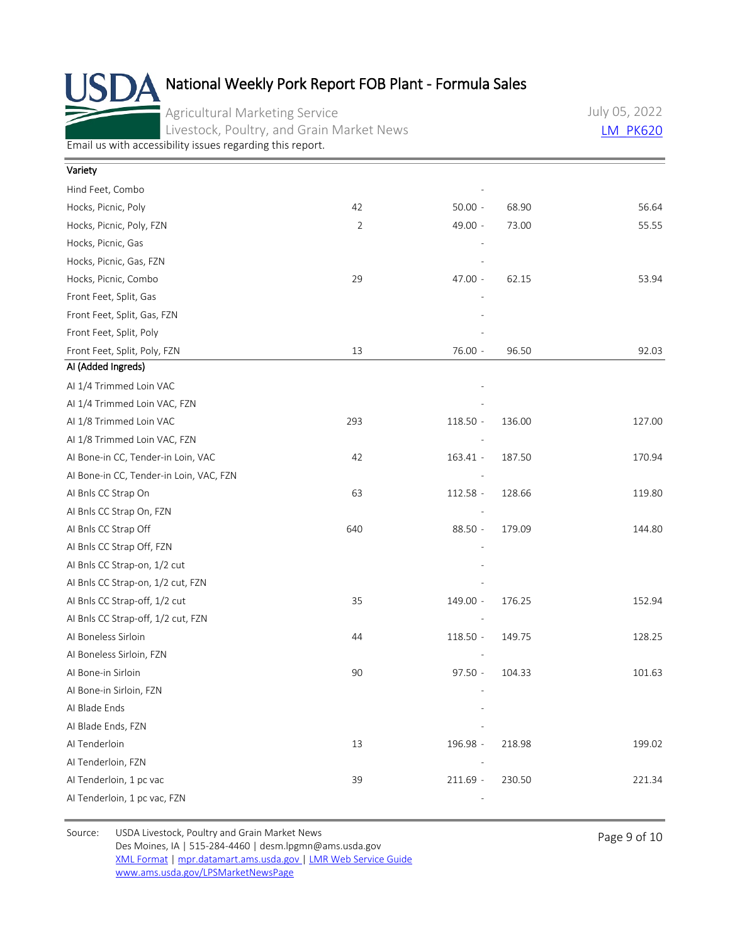Agricultural Marketing Service Livestock, Poultry, and Grain Market News July 05, 2022 **LM PK620** 

[Email us with accessibility issues regarding this report.](mailto:mpr.lpgmn@ams.usda.gov?subject=508%20Issue)

| Variety                                 |                |            |        |        |
|-----------------------------------------|----------------|------------|--------|--------|
| Hind Feet, Combo                        |                |            |        |        |
| Hocks, Picnic, Poly                     | 42             | $50.00 -$  | 68.90  | 56.64  |
| Hocks, Picnic, Poly, FZN                | $\overline{2}$ | 49.00 -    | 73.00  | 55.55  |
| Hocks, Picnic, Gas                      |                |            |        |        |
| Hocks, Picnic, Gas, FZN                 |                |            |        |        |
| Hocks, Picnic, Combo                    | 29             | 47.00 -    | 62.15  | 53.94  |
| Front Feet, Split, Gas                  |                |            |        |        |
| Front Feet, Split, Gas, FZN             |                |            |        |        |
| Front Feet, Split, Poly                 |                |            |        |        |
| Front Feet, Split, Poly, FZN            | 13             | 76.00 -    | 96.50  | 92.03  |
| Al (Added Ingreds)                      |                |            |        |        |
| Al 1/4 Trimmed Loin VAC                 |                |            |        |        |
| Al 1/4 Trimmed Loin VAC, FZN            |                |            |        |        |
| Al 1/8 Trimmed Loin VAC                 | 293            | 118.50 -   | 136.00 | 127.00 |
| AI 1/8 Trimmed Loin VAC, FZN            |                |            |        |        |
| Al Bone-in CC, Tender-in Loin, VAC      | 42             | 163.41 -   | 187.50 | 170.94 |
| Al Bone-in CC, Tender-in Loin, VAC, FZN |                |            |        |        |
| AI Bnls CC Strap On                     | 63             | 112.58 -   | 128.66 | 119.80 |
| AI Bnls CC Strap On, FZN                |                |            |        |        |
| AI Bnls CC Strap Off                    | 640            | 88.50 -    | 179.09 | 144.80 |
| AI Bnls CC Strap Off, FZN               |                |            |        |        |
| AI Bnls CC Strap-on, 1/2 cut            |                |            |        |        |
| AI Bnls CC Strap-on, 1/2 cut, FZN       |                |            |        |        |
| Al Bnls CC Strap-off, 1/2 cut           | 35             | 149.00 -   | 176.25 | 152.94 |
| AI Bnls CC Strap-off, 1/2 cut, FZN      |                |            |        |        |
| Al Boneless Sirloin                     | 44             | 118.50 -   | 149.75 | 128.25 |
| AI Boneless Sirloin, FZN                |                |            |        |        |
| Al Bone-in Sirloin                      | 90             | $97.50 -$  | 104.33 | 101.63 |
| Al Bone-in Sirloin, FZN                 |                |            |        |        |
| Al Blade Ends                           |                |            |        |        |
| AI Blade Ends, FZN                      |                |            |        |        |
| Al Tenderloin                           | 13             | 196.98 -   | 218.98 | 199.02 |
| AI Tenderloin, FZN                      |                |            |        |        |
| Al Tenderloin, 1 pc vac                 | 39             | $211.69 -$ | 230.50 | 221.34 |
| Al Tenderloin, 1 pc vac, FZN            |                |            |        |        |
|                                         |                |            |        |        |

Source: USDA Livestock, Poultry and Grain Market News<br>
Page 9 of 10 Des Moines, IA | 515-284-4460 | desm.lpgmn@ams.usda.gov [XML Format](https://mpr.datamart.ams.usda.gov/ws/report/v1/pork/LM_PK620?filter=%7B%22filters%22:%5B%7B%22fieldName%22:%22Report%20date%22,%22operatorType%22:%22EQUAL%22,%22values%22:%5B%227/5/2022%22%5D%7D%5D%7D) | [mpr.datamart.ams.usda.gov](https://mpr.datamart.ams.usda.gov/) | [LMR Web Service Guide](https://www.marketnews.usda.gov/mnp/assets/ls/USDA-LMR-WebService-Client-User-Guide-v1_prod.pdf) [www.ams.usda.gov/LPSMarketNewsPage](https://www.ams.usda.gov/LPSMarketNewsPage)